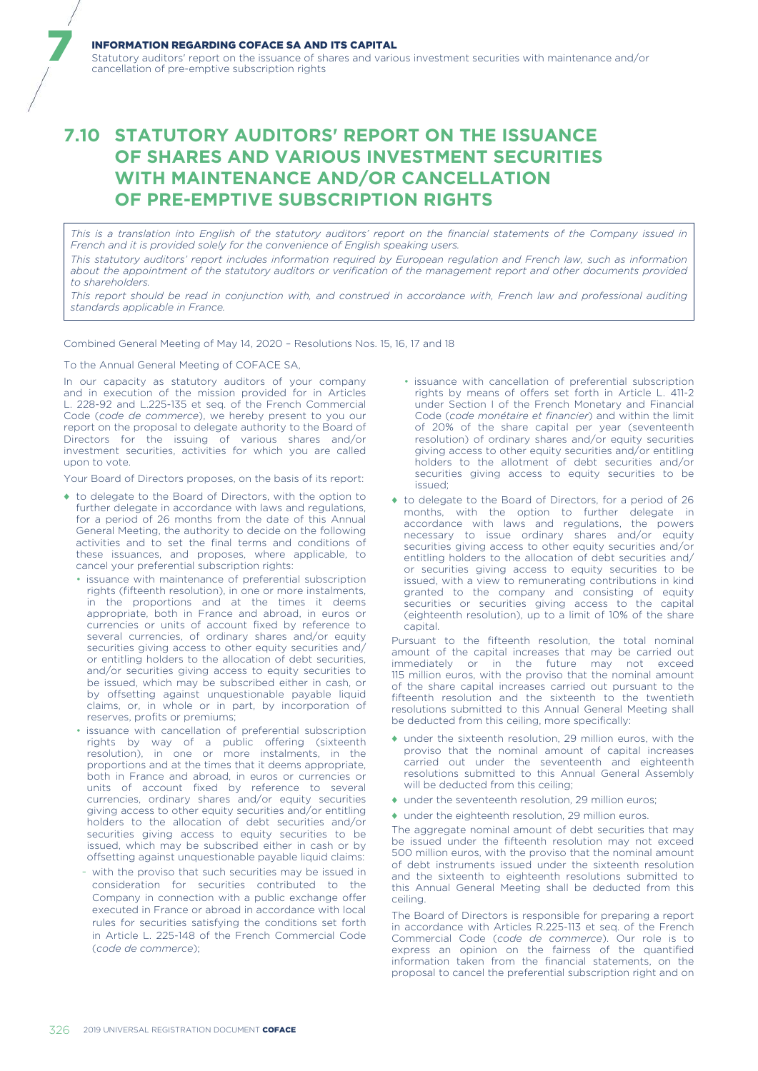## INFORMATION REGARDING COFACE SA AND ITS CAPITAL

Statutory auditors' report on the issuance of shares and various investment securities with maintenance and/or cancellation of pre-emptive subscription rights

## **7.10 STATUTORY AUDITORS' REPORT ON THE ISSUANCE OF SHARES AND VARIOUS INVESTMENT SECURITIES WITH MAINTENANCE AND/OR CANCELLATION OF PRE-EMPTIVE SUBSCRIPTION RIGHTS**

*This is a translation into English of the statutory auditors' report on the financial statements of the Company issued in French and it is provided solely for the convenience of English speaking users.*

*This statutory auditors' report includes information required by European regulation and French law, such as information about the appointment of the statutory auditors or verification of the management report and other documents provided to shareholders.*

*This report should be read in conjunction with, and construed in accordance with, French law and professional auditing standards applicable in France.*

Combined General Meeting of May 14, 2020 – Resolutions Nos. 15, 16, 17 and 18

## To the Annual General Meeting of COFACE SA,

7

In our capacity as statutory auditors of your company and in execution of the mission provided for in Articles L. 228-92 and L.225-135 et seq. of the French Commercial Code (*code de commerce*), we hereby present to you our report on the proposal to delegate authority to the Board of Directors for the issuing of various shares and/or investment securities, activities for which you are called upon to vote.

Your Board of Directors proposes, on the basis of its report:

- ♦ to delegate to the Board of Directors, with the option to further delegate in accordance with laws and regulations, for a period of 26 months from the date of this Annual General Meeting, the authority to decide on the following activities and to set the final terms and conditions of these issuances, and proposes, where applicable, to cancel your preferential subscription rights:
	- issuance with maintenance of preferential subscription rights (fifteenth resolution), in one or more instalments, in the proportions and at the times it deems appropriate, both in France and abroad, in euros or currencies or units of account fixed by reference to several currencies, of ordinary shares and/or equity securities giving access to other equity securities and/ or entitling holders to the allocation of debt securities, and/or securities giving access to equity securities to be issued, which may be subscribed either in cash, or by offsetting against unquestionable payable liquid claims, or, in whole or in part, by incorporation of reserves, profits or premiums;
	- issuance with cancellation of preferential subscription rights by way of a public offering (sixteenth resolution), in one or more instalments, in the proportions and at the times that it deems appropriate, both in France and abroad, in euros or currencies or units of account fixed by reference to several currencies, ordinary shares and/or equity securities giving access to other equity securities and/or entitling holders to the allocation of debt securities and/or securities giving access to equity securities to be issued, which may be subscribed either in cash or by offsetting against unquestionable payable liquid claims:
	- with the proviso that such securities may be issued in consideration for securities contributed to the Company in connection with a public exchange offer executed in France or abroad in accordance with local rules for securities satisfying the conditions set forth in Article L. 225-148 of the French Commercial Code (*code de commerce*);
- issuance with cancellation of preferential subscription rights by means of offers set forth in Article L. 411-2 under Section I of the French Monetary and Financial Code (*code monétaire et financier*) and within the limit of 20% of the share capital per year (seventeenth resolution) of ordinary shares and/or equity securities giving access to other equity securities and/or entitling holders to the allotment of debt securities and/or securities giving access to equity securities to be issued;
- ♦ to delegate to the Board of Directors, for a period of 26 months, with the option to further delegate in accordance with laws and regulations, the powers necessary to issue ordinary shares and/or equity securities giving access to other equity securities and/or entitling holders to the allocation of debt securities and/ or securities giving access to equity securities to be issued, with a view to remunerating contributions in kind granted to the company and consisting of equity securities or securities giving access to the capital (eighteenth resolution), up to a limit of 10% of the share capital.

Pursuant to the fifteenth resolution, the total nominal amount of the capital increases that may be carried out immediately or in the future may not exceed 115 million euros, with the proviso that the nominal amount of the share capital increases carried out pursuant to the fifteenth resolution and the sixteenth to the twentieth resolutions submitted to this Annual General Meeting shall be deducted from this ceiling, more specifically:

- ♦ under the sixteenth resolution, 29 million euros, with the proviso that the nominal amount of capital increases carried out under the seventeenth and eighteenth resolutions submitted to this Annual General Assembly will be deducted from this ceiling;
- $\bullet$  under the seventeenth resolution, 29 million euros;
- ♦ under the eighteenth resolution, 29 million euros.

The aggregate nominal amount of debt securities that may be issued under the fifteenth resolution may not exceed 500 million euros, with the proviso that the nominal amount of debt instruments issued under the sixteenth resolution and the sixteenth to eighteenth resolutions submitted to this Annual General Meeting shall be deducted from this ceiling.

The Board of Directors is responsible for preparing a report in accordance with Articles R.225-113 et seq. of the French Commercial Code (*code de commerce*). Our role is to express an opinion on the fairness of the quantified information taken from the financial statements, on the proposal to cancel the preferential subscription right and on